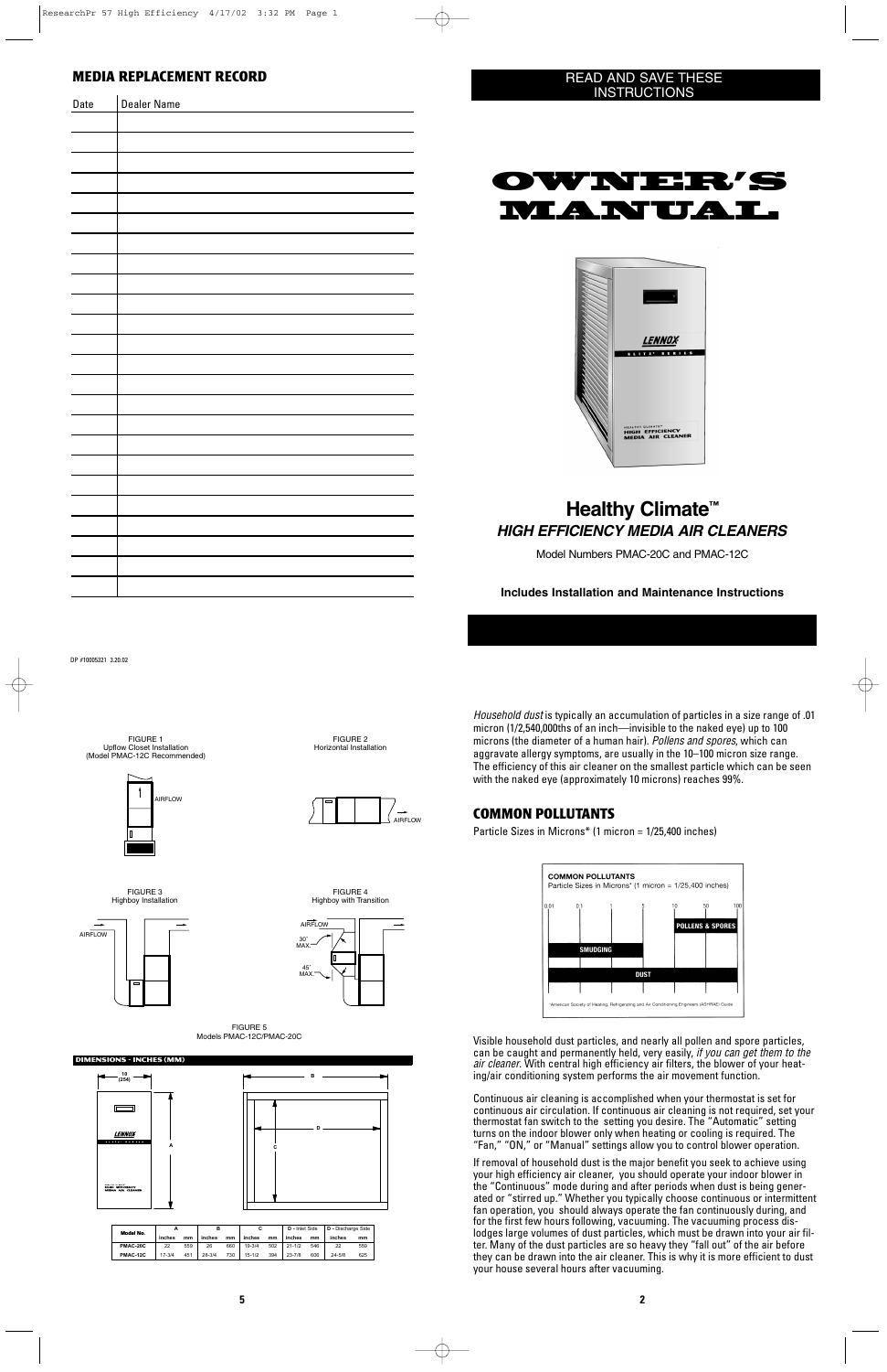DP #10005321 3.20.02





# **Healthy Climate™** *HIGH EFFICIENCY MEDIA AIR CLEANERS*

Model Numbers PMAC-20C and PMAC-12C

**Includes Installation and Maintenance Instructions**

### READ AND SAVE THESE INSTRUCTIONS

### **MEDIA REPLACEMENT RECORD**

| Date | Dealer Name |
|------|-------------|
|      |             |
|      |             |
|      |             |
|      |             |
|      |             |
|      |             |
|      |             |
|      |             |
|      |             |
|      |             |
|      |             |
|      |             |
|      |             |
|      |             |
|      |             |
|      |             |
|      |             |
|      |             |
|      |             |
|      |             |
|      |             |
|      |             |
|      |             |
|      |             |
|      |             |

*Household dust* is typically an accumulation of particles in a size range of .01 micron (1/2,540,000ths of an inch—invisible to the naked eye) up to 100 microns (the diameter of a human hair). *Pollens and spores*, which can aggravate allergy symptoms, are usually in the 10–100 micron size range. The efficiency of this air cleaner on the smallest particle which can be seen with the naked eye (approximately 10 microns) reaches 99%.

## **COMMON POLLUTANTS**

Particle Sizes in Microns\* (1 micron = 1/25,400 inches)



Visible household dust particles, and nearly all pollen and spore particles, can be caught and permanently held, very easily, *if you can get them to the air cleaner*. With central high efficiency air filters, the blower of your heating/air conditioning system performs the air movement function.

Continuous air cleaning is accomplished when your thermostat is set for continuous air circulation. If continuous air cleaning is not required, set your thermostat fan switch to the setting you desire. The "Automatic" setting turns on the indoor blower only when heating or cooling is required. The "Fan," "ON," or "Manual" settings allow you to control blower operation.

If removal of household dust is the major benefit you seek to achieve using your high efficiency air cleaner, you should operate your indoor blower in the "Continuous" mode during and after periods when dust is being generated or "stirred up." Whether you typically choose continuous or intermittent fan operation, you should always operate the fan continuously during, and for the first few hours following, vacuuming. The vacuuming process dislodges large volumes of dust particles, which must be drawn into your air filter. Many of the dust particles are so heavy they "fall out" of the air before they can be drawn into the air cleaner. This is why it is more efficient to dust your house several hours after vacuuming.

**5 2**







FIGURE 4 Highboy with Transition



FIGURE 2 Horizontal Installation



#### FIGURE 5 Models PMAC-12C/PMAC-20C

| Model No. |            |     | в          |     |            |     | D - Inlet Side |     | D - Discharge Side |     |
|-----------|------------|-----|------------|-----|------------|-----|----------------|-----|--------------------|-----|
|           | inches     | mm  | inches     | mm  | inches     | mm  | inches         | mm  | inches             | mm  |
| PMAC-20C  | 22         | 559 | 26         | 660 | $19 - 3/4$ | 502 | $21 - 1/2$     | 546 | 22                 | 559 |
| PMAC-12C  | $17 - 3/4$ | 451 | $28 - 3/4$ | 730 | $15 - 1/2$ | 394 | $23 - 7/8$     | 606 | $24 - 5/8$         | 625 |